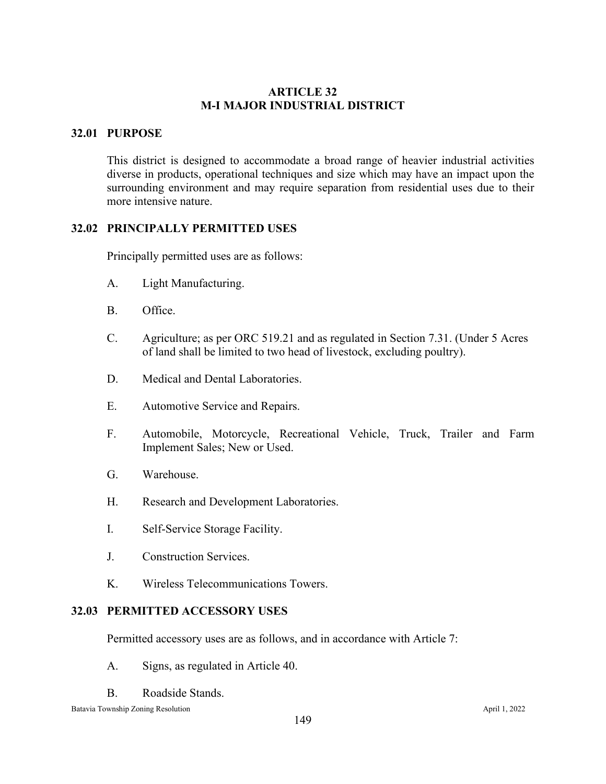# **ARTICLE 32 M-I MAJOR INDUSTRIAL DISTRICT**

## **32.01 PURPOSE**

This district is designed to accommodate a broad range of heavier industrial activities diverse in products, operational techniques and size which may have an impact upon the surrounding environment and may require separation from residential uses due to their more intensive nature.

### **32.02 PRINCIPALLY PERMITTED USES**

Principally permitted uses are as follows:

- A. Light Manufacturing.
- B. Office.
- C. Agriculture; as per ORC 519.21 and as regulated in Section 7.31. (Under 5 Acres of land shall be limited to two head of livestock, excluding poultry).
- D. Medical and Dental Laboratories.
- E. Automotive Service and Repairs.
- F. Automobile, Motorcycle, Recreational Vehicle, Truck, Trailer and Farm Implement Sales; New or Used.
- G. Warehouse.
- H. Research and Development Laboratories.
- I. Self-Service Storage Facility.
- J. Construction Services.
- K. Wireless Telecommunications Towers.

## **32.03 PERMITTED ACCESSORY USES**

Permitted accessory uses are as follows, and in accordance with Article 7:

- A. Signs, as regulated in Article 40.
- B. Roadside Stands.

Batavia Township Zoning Resolution April 1, 2022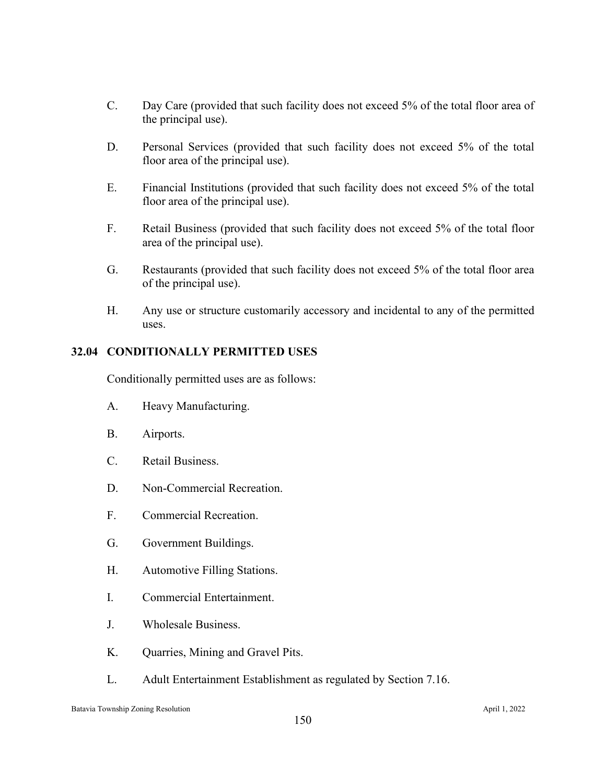- C. Day Care (provided that such facility does not exceed 5% of the total floor area of the principal use).
- D. Personal Services (provided that such facility does not exceed 5% of the total floor area of the principal use).
- E. Financial Institutions (provided that such facility does not exceed 5% of the total floor area of the principal use).
- F. Retail Business (provided that such facility does not exceed 5% of the total floor area of the principal use).
- G. Restaurants (provided that such facility does not exceed 5% of the total floor area of the principal use).
- H. Any use or structure customarily accessory and incidental to any of the permitted uses.

# **32.04 CONDITIONALLY PERMITTED USES**

Conditionally permitted uses are as follows:

- A. Heavy Manufacturing.
- B. Airports.
- C. Retail Business.
- D. Non-Commercial Recreation.
- F. Commercial Recreation.
- G. Government Buildings.
- H. Automotive Filling Stations.
- I. Commercial Entertainment.
- J. Wholesale Business.
- K. Quarries, Mining and Gravel Pits.
- L. Adult Entertainment Establishment as regulated by Section 7.16.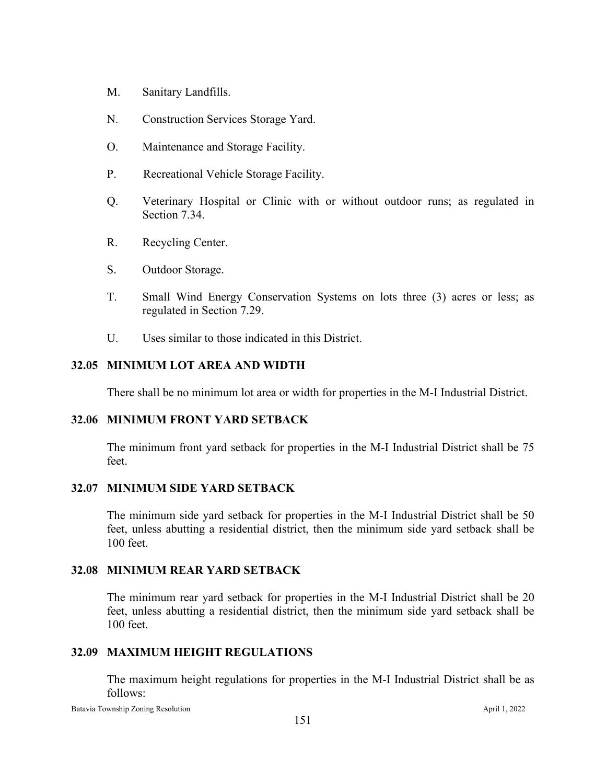- M. Sanitary Landfills.
- N. Construction Services Storage Yard.
- O. Maintenance and Storage Facility.
- P. Recreational Vehicle Storage Facility.
- Q. Veterinary Hospital or Clinic with or without outdoor runs; as regulated in Section 7.34.
- R. Recycling Center.
- S. Outdoor Storage.
- T. Small Wind Energy Conservation Systems on lots three (3) acres or less; as regulated in Section 7.29.
- U. Uses similar to those indicated in this District.

### **32.05 MINIMUM LOT AREA AND WIDTH**

There shall be no minimum lot area or width for properties in the M-I Industrial District.

### **32.06 MINIMUM FRONT YARD SETBACK**

The minimum front yard setback for properties in the M-I Industrial District shall be 75 feet.

#### **32.07 MINIMUM SIDE YARD SETBACK**

The minimum side yard setback for properties in the M-I Industrial District shall be 50 feet, unless abutting a residential district, then the minimum side yard setback shall be 100 feet.

#### **32.08 MINIMUM REAR YARD SETBACK**

The minimum rear yard setback for properties in the M-I Industrial District shall be 20 feet, unless abutting a residential district, then the minimum side yard setback shall be 100 feet.

### **32.09 MAXIMUM HEIGHT REGULATIONS**

The maximum height regulations for properties in the M-I Industrial District shall be as follows: